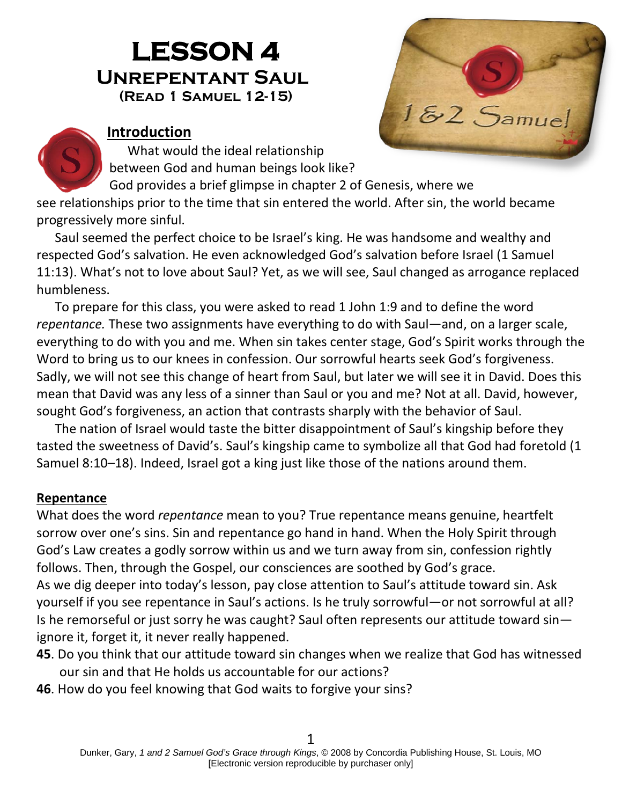# **LESSON 4 Unrepentant Saul(Read 1 Samuel 12-15)**



#### **Introduction**

What would the ideal relationship between God and human beings look like?

God provides a brief glimpse in chapter 2 of Genesis, where we

see relationships prior to the time that sin entered the world. After sin, the world became progressively more sinful.

Saul seemed the perfect choice to be Israel's king. He was handsome and wealthy and respected God's salvation. He even acknowledged God's salvation before Israel (1 Samuel 11:13). What's not to love about Saul? Yet, as we will see, Saul changed as arrogance replaced humbleness.

To prepare for this class, you were asked to read 1 John 1:9 and to define the word *repentance.* These two assignments have everything to do with Saul—and, on a larger scale, everything to do with you and me. When sin takes center stage, God's Spirit works through the Word to bring us to our knees in confession. Our sorrowful hearts seek God's forgiveness. Sadly, we will not see this change of heart from Saul, but later we will see it in David. Does this mean that David was any less of a sinner than Saul or you and me? Not at all. David, however, sought God's forgiveness, an action that contrasts sharply with the behavior of Saul.

The nation of Israel would taste the bitter disappointment of Saul's kingship before they tasted the sweetness of David's. Saul's kingship came to symbolize all that God had foretold (1 Samuel 8:10–18). Indeed, Israel got a king just like those of the nations around them.

#### **Repentance**

What does the word *repentance* mean to you? True repentance means genuine, heartfelt sorrow over one's sins. Sin and repentance go hand in hand. When the Holy Spirit through God's Law creates a godly sorrow within us and we turn away from sin, confession rightly follows. Then, through the Gospel, our consciences are soothed by God's grace. As we dig deeper into today's lesson, pay close attention to Saul's attitude toward sin. Ask yourself if you see repentance in Saul's actions. Is he truly sorrowful—or not sorrowful at all? Is he remorseful or just sorry he was caught? Saul often represents our attitude toward sin ignore it, forget it, it never really happened.

- **45**. Do you think that our attitude toward sin changes when we realize that God has witnessed our sin and that He holds us accountable for our actions?
- **46**. How do you feel knowing that God waits to forgive your sins?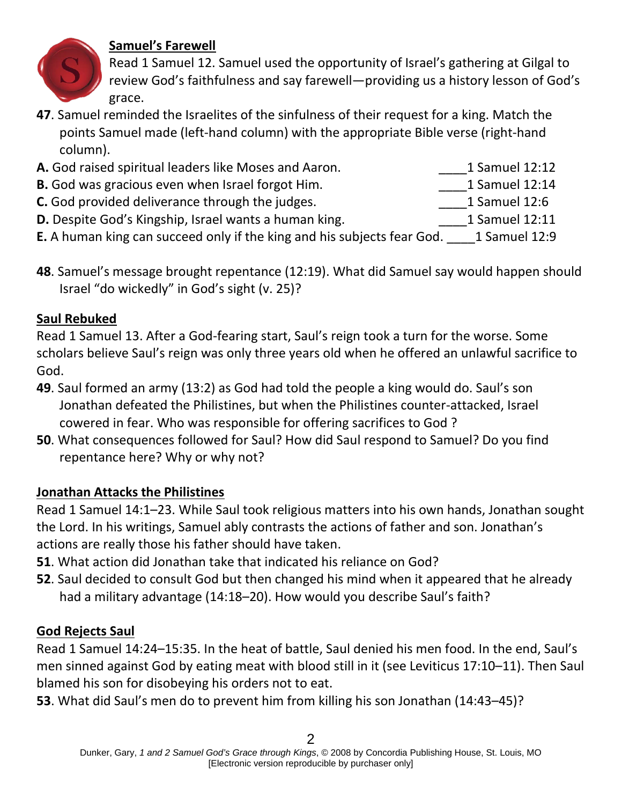## **Samuel's Farewell**

Read 1 Samuel 12. Samuel used the opportunity of Israel's gathering at Gilgal to review God's faithfulness and say farewell—providing us a history lesson of God's

- **47**. Samuel reminded the Israelites of the sinfulness of their request for a king. Match the points Samuel made (left-hand column) with the appropriate Bible verse (right-hand column).
- **A.** God raised spiritual leaders like Moses and Aaron. **Each all Samuel 12:12**
- **B.** God was gracious even when Israel forgot Him. **Example 12:14** 1 Samuel 12:14
- **C.** God provided deliverance through the judges. **C.** God provided 12:6
- **D.** Despite God's Kingship, Israel wants a human king. **1** Samuel 12:11
- **E.** A human king can succeed only if the king and his subjects fear God. \_\_\_\_1 Samuel 12:9
- **48**. Samuel's message brought repentance (12:19). What did Samuel say would happen should Israel "do wickedly" in God's sight (v. 25)?

## **Saul Rebuked**

Read 1 Samuel 13. After a God-fearing start, Saul's reign took a turn for the worse. Some scholars believe Saul's reign was only three years old when he offered an unlawful sacrifice to God.

- **49**. Saul formed an army (13:2) as God had told the people a king would do. Saul's son Jonathan defeated the Philistines, but when the Philistines counter-attacked, Israel cowered in fear. Who was responsible for offering sacrifices to God ?
- **50**. What consequences followed for Saul? How did Saul respond to Samuel? Do you find repentance here? Why or why not?

## **Jonathan Attacks the Philistines**

Read 1 Samuel 14:1–23. While Saul took religious matters into his own hands, Jonathan sought the Lord. In his writings, Samuel ably contrasts the actions of father and son. Jonathan's actions are really those his father should have taken.

- **51**. What action did Jonathan take that indicated his reliance on God?
- **52**. Saul decided to consult God but then changed his mind when it appeared that he already had a military advantage (14:18–20). How would you describe Saul's faith?

## **God Rejects Saul**

Read 1 Samuel 14:24–15:35. In the heat of battle, Saul denied his men food. In the end, Saul's men sinned against God by eating meat with blood still in it (see Leviticus 17:10–11). Then Saul blamed his son for disobeying his orders not to eat.

**53**. What did Saul's men do to prevent him from killing his son Jonathan (14:43–45)?



- 
- - -